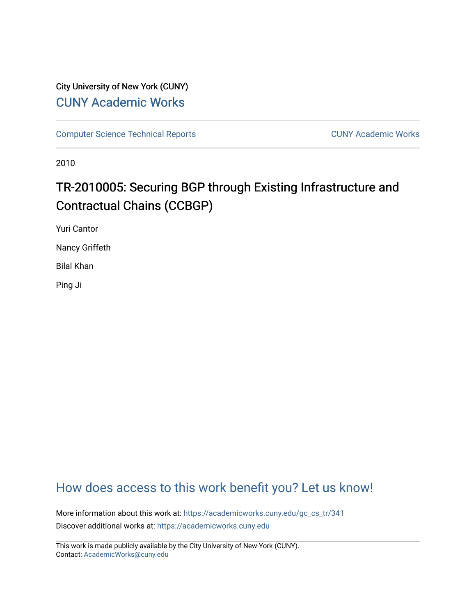# City University of New York (CUNY) [CUNY Academic Works](https://academicworks.cuny.edu/)

[Computer Science Technical Reports](https://academicworks.cuny.edu/gc_cs_tr) **CUNY Academic Works** CUNY Academic Works

2010

# TR-2010005: Securing BGP through Existing Infrastructure and Contractual Chains (CCBGP)

Yuri Cantor

Nancy Griffeth

Bilal Khan

Ping Ji

# [How does access to this work benefit you? Let us know!](http://ols.cuny.edu/academicworks/?ref=https://academicworks.cuny.edu/gc_cs_tr/341)

More information about this work at: [https://academicworks.cuny.edu/gc\\_cs\\_tr/341](https://academicworks.cuny.edu/gc_cs_tr/341)  Discover additional works at: [https://academicworks.cuny.edu](https://academicworks.cuny.edu/?)

This work is made publicly available by the City University of New York (CUNY). Contact: [AcademicWorks@cuny.edu](mailto:AcademicWorks@cuny.edu)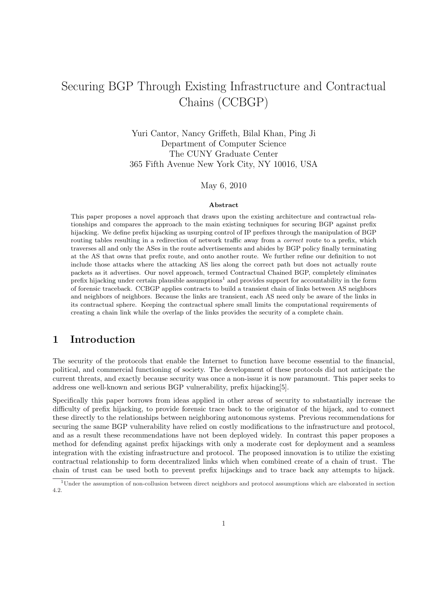# Securing BGP Through Existing Infrastructure and Contractual Chains (CCBGP)

Yuri Cantor, Nancy Griffeth, Bilal Khan, Ping Ji Department of Computer Science The CUNY Graduate Center 365 Fifth Avenue New York City, NY 10016, USA

May 6, 2010

#### Abstract

This paper proposes a novel approach that draws upon the existing architecture and contractual relationships and compares the approach to the main existing techniques for securing BGP against prefix hijacking. We define prefix hijacking as usurping control of IP prefixes through the manipulation of BGP routing tables resulting in a redirection of network traffic away from a correct route to a prefix, which traverses all and only the ASes in the route advertisements and abides by BGP policy finally terminating at the AS that owns that prefix route, and onto another route. We further refine our definition to not include those attacks where the attacking AS lies along the correct path but does not actually route packets as it advertises. Our novel approach, termed Contractual Chained BGP, completely eliminates prefix hijacking under certain plausible assumptions<sup>1</sup> and provides support for accountability in the form of forensic traceback. CCBGP applies contracts to build a transient chain of links between AS neighbors and neighbors of neighbors. Because the links are transient, each AS need only be aware of the links in its contractual sphere. Keeping the contractual sphere small limits the computational requirements of creating a chain link while the overlap of the links provides the security of a complete chain.

# 1 Introduction

The security of the protocols that enable the Internet to function have become essential to the financial, political, and commercial functioning of society. The development of these protocols did not anticipate the current threats, and exactly because security was once a non-issue it is now paramount. This paper seeks to address one well-known and serious BGP vulnerability, prefix hijacking[5].

Specifically this paper borrows from ideas applied in other areas of security to substantially increase the difficulty of prefix hijacking, to provide forensic trace back to the originator of the hijack, and to connect these directly to the relationships between neighboring autonomous systems. Previous recommendations for securing the same BGP vulnerability have relied on costly modifications to the infrastructure and protocol, and as a result these recommendations have not been deployed widely. In contrast this paper proposes a method for defending against prefix hijackings with only a moderate cost for deployment and a seamless integration with the existing infrastructure and protocol. The proposed innovation is to utilize the existing contractual relationship to form decentralized links which when combined create of a chain of trust. The chain of trust can be used both to prevent prefix hijackings and to trace back any attempts to hijack.

<sup>1</sup>Under the assumption of non-collusion between direct neighbors and protocol assumptions which are elaborated in section 4.2.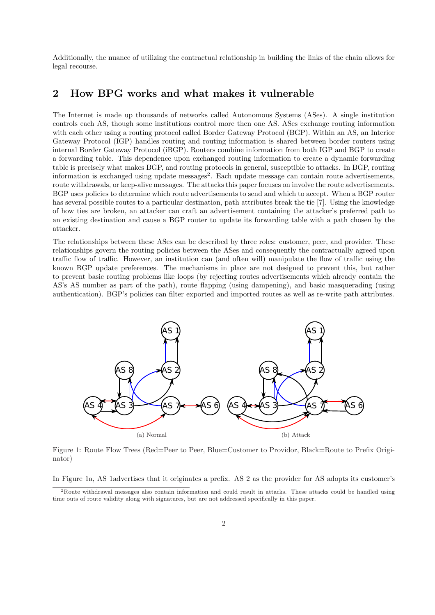Additionally, the nuance of utilizing the contractual relationship in building the links of the chain allows for legal recourse.

# 2 How BPG works and what makes it vulnerable

The Internet is made up thousands of networks called Autonomous Systems (ASes). A single institution controls each AS, though some institutions control more then one AS. ASes exchange routing information with each other using a routing protocol called Border Gateway Protocol (BGP). Within an AS, an Interior Gateway Protocol (IGP) handles routing and routing information is shared between border routers using internal Border Gateway Protocol (iBGP). Routers combine information from both IGP and BGP to create a forwarding table. This dependence upon exchanged routing information to create a dynamic forwarding table is precisely what makes BGP, and routing protocols in general, susceptible to attacks. In BGP, routing information is exchanged using update messages<sup>2</sup>. Each update message can contain route advertisements, route withdrawals, or keep-alive messages. The attacks this paper focuses on involve the route advertisements. BGP uses policies to determine which route advertisements to send and which to accept. When a BGP router has several possible routes to a particular destination, path attributes break the tie [7]. Using the knowledge of how ties are broken, an attacker can craft an advertisement containing the attacker's preferred path to an existing destination and cause a BGP router to update its forwarding table with a path chosen by the attacker.

The relationships between these ASes can be described by three roles: customer, peer, and provider. These relationships govern the routing policies between the ASes and consequently the contractually agreed upon traffic flow of traffic. However, an institution can (and often will) manipulate the flow of traffic using the known BGP update preferences. The mechanisms in place are not designed to prevent this, but rather to prevent basic routing problems like loops (by rejecting routes advertisements which already contain the AS's AS number as part of the path), route flapping (using dampening), and basic masquerading (using authentication). BGP's policies can filter exported and imported routes as well as re-write path attributes.



Figure 1: Route Flow Trees (Red=Peer to Peer, Blue=Customer to Providor, Black=Route to Prefix Originator)

In Figure 1a, AS 1advertises that it originates a prefix. AS 2 as the provider for AS adopts its customer's

<sup>2</sup>Route withdrawal messages also contain information and could result in attacks. These attacks could be handled using time outs of route validity along with signatures, but are not addressed specifically in this paper.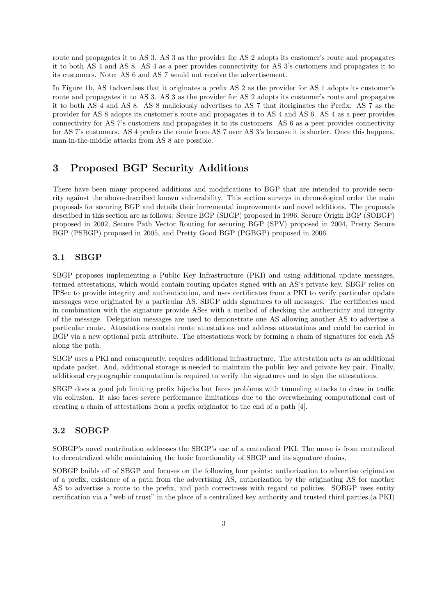route and propagates it to AS 3. AS 3 as the provider for AS 2 adopts its customer's route and propagates it to both AS 4 and AS 8. AS 4 as a peer provides connectivity for AS 3's customers and propagates it to its customers. Note: AS 6 and AS 7 would not receive the advertisement.

In Figure 1b, AS 1advertises that it originates a prefix AS 2 as the provider for AS 1 adopts its customer's route and propagates it to AS 3. AS 3 as the provider for AS 2 adopts its customer's route and propagates it to both AS 4 and AS 8. AS 8 maliciously advertises to AS 7 that itoriginates the Prefix. AS 7 as the provider for AS 8 adopts its customer's route and propagates it to AS 4 and AS 6. AS 4 as a peer provides connectivity for AS 7's customers and propagates it to its customers. AS 6 as a peer provides connectivity for AS 7's customers. AS 4 prefers the route from AS 7 over AS 3's because it is shorter. Once this happens, man-in-the-middle attacks from AS 8 are possible.

# 3 Proposed BGP Security Additions

There have been many proposed additions and modifications to BGP that are intended to provide security against the above-described known vulnerability. This section surveys in chronological order the main proposals for securing BGP and details their incremental improvements and novel additions. The proposals described in this section are as follows: Secure BGP (SBGP) proposed in 1996, Secure Origin BGP (SOBGP) proposed in 2002, Secure Path Vector Routing for securing BGP (SPV) proposed in 2004, Pretty Secure BGP (PSBGP) proposed in 2005, and Pretty Good BGP (PGBGP) proposed in 2006.

# 3.1 SBGP

SBGP proposes implementing a Public Key Infrastructure (PKI) and using additional update messages, termed attestations, which would contain routing updates signed with an AS's private key. SBGP relies on IPSec to provide integrity and authentication, and uses certificates from a PKI to verify particular update messages were originated by a particular AS. SBGP adds signatures to all messages. The certificates used in combination with the signature provide ASes with a method of checking the authenticity and integrity of the message. Delegation messages are used to demonstrate one AS allowing another AS to advertise a particular route. Attestations contain route attestations and address attestations and could be carried in BGP via a new optional path attribute. The attestations work by forming a chain of signatures for each AS along the path.

SBGP uses a PKI and consequently, requires additional infrastructure. The attestation acts as an additional update packet. And, additional storage is needed to maintain the public key and private key pair. Finally, additional cryptographic computation is required to verify the signatures and to sign the attestations.

SBGP does a good job limiting prefix hijacks but faces problems with tunneling attacks to draw in traffic via collusion. It also faces severe performance limitations due to the overwhelming computational cost of creating a chain of attestations from a prefix originator to the end of a path [4].

# 3.2 SOBGP

SOBGP's novel contribution addresses the SBGP's use of a centralized PKI. The move is from centralized to decentralized while maintaining the basic functionality of SBGP and its signature chains.

SOBGP builds off of SBGP and focuses on the following four points: authorization to advertise origination of a prefix, existence of a path from the advertising AS, authorization by the originating AS for another AS to advertise a route to the prefix, and path correctness with regard to policies. SOBGP uses entity certification via a "web of trust" in the place of a centralized key authority and trusted third parties (a PKI)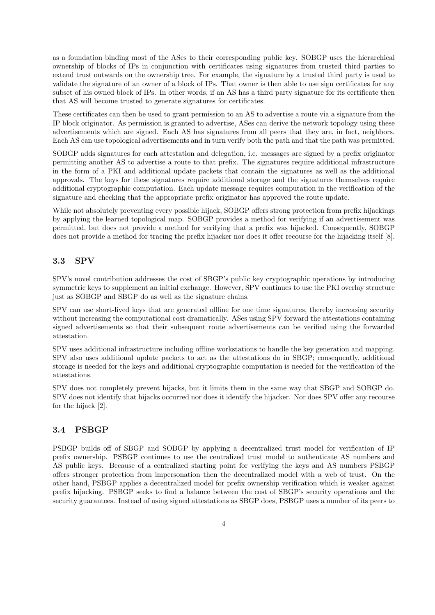as a foundation binding most of the ASes to their corresponding public key. SOBGP uses the hierarchical ownership of blocks of IPs in conjunction with certificates using signatures from trusted third parties to extend trust outwards on the ownership tree. For example, the signature by a trusted third party is used to validate the signature of an owner of a block of IPs. That owner is then able to use sign certificates for any subset of his owned block of IPs. In other words, if an AS has a third party signature for its certificate then that AS will become trusted to generate signatures for certificates.

These certificates can then be used to grant permission to an AS to advertise a route via a signature from the IP block originator. As permission is granted to advertise, ASes can derive the network topology using these advertisements which are signed. Each AS has signatures from all peers that they are, in fact, neighbors. Each AS can use topological advertisements and in turn verify both the path and that the path was permitted.

SOBGP adds signatures for each attestation and delegation, i.e. messages are signed by a prefix originator permitting another AS to advertise a route to that prefix. The signatures require additional infrastructure in the form of a PKI and additional update packets that contain the signatures as well as the additional approvals. The keys for these signatures require additional storage and the signatures themselves require additional cryptographic computation. Each update message requires computation in the verification of the signature and checking that the appropriate prefix originator has approved the route update.

While not absolutely preventing every possible hijack, SOBGP offers strong protection from prefix hijackings by applying the learned topological map. SOBGP provides a method for verifying if an advertisement was permitted, but does not provide a method for verifying that a prefix was hijacked. Consequently, SOBGP does not provide a method for tracing the prefix hijacker nor does it offer recourse for the hijacking itself [8].

# 3.3 SPV

SPV's novel contribution addresses the cost of SBGP's public key cryptographic operations by introducing symmetric keys to supplement an initial exchange. However, SPV continues to use the PKI overlay structure just as SOBGP and SBGP do as well as the signature chains.

SPV can use short-lived keys that are generated offline for one time signatures, thereby increasing security without increasing the computational cost dramatically. ASes using SPV forward the attestations containing signed advertisements so that their subsequent route advertisements can be verified using the forwarded attestation.

SPV uses additional infrastructure including offline workstations to handle the key generation and mapping. SPV also uses additional update packets to act as the attestations do in SBGP; consequently, additional storage is needed for the keys and additional cryptographic computation is needed for the verification of the attestations.

SPV does not completely prevent hijacks, but it limits them in the same way that SBGP and SOBGP do. SPV does not identify that hijacks occurred nor does it identify the hijacker. Nor does SPV offer any recourse for the hijack [2].

## 3.4 PSBGP

PSBGP builds off of SBGP and SOBGP by applying a decentralized trust model for verification of IP prefix ownership. PSBGP continues to use the centralized trust model to authenticate AS numbers and AS public keys. Because of a centralized starting point for verifying the keys and AS numbers PSBGP offers stronger protection from impersonation then the decentralized model with a web of trust. On the other hand, PSBGP applies a decentralized model for prefix ownership verification which is weaker against prefix hijacking. PSBGP seeks to find a balance between the cost of SBGP's security operations and the security guarantees. Instead of using signed attestations as SBGP does, PSBGP uses a number of its peers to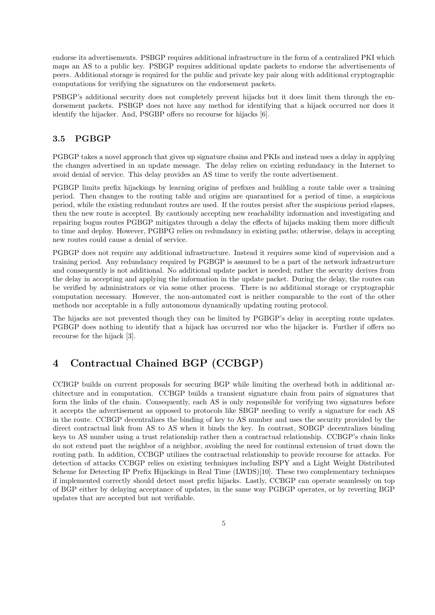endorse its advertisements. PSBGP requires additional infrastructure in the form of a centralized PKI which maps an AS to a public key. PSBGP requires additional update packets to endorse the advertisements of peers. Additional storage is required for the public and private key pair along with additional cryptographic computations for verifying the signatures on the endorsement packets.

PSBGP's additional security does not completely prevent hijacks but it does limit them through the endorsement packets. PSBGP does not have any method for identifying that a hijack occurred nor does it identify the hijacker. And, PSGBP offers no recourse for hijacks [6].

## 3.5 PGBGP

PGBGP takes a novel approach that gives up signature chains and PKIs and instead uses a delay in applying the changes advertised in an update message. The delay relies on existing redundancy in the Internet to avoid denial of service. This delay provides an AS time to verify the route advertisement.

PGBGP limits prefix hijackings by learning origins of prefixes and building a route table over a training period. Then changes to the routing table and origins are quarantined for a period of time, a suspicious period, while the existing redundant routes are used. If the routes persist after the suspicious period elapses, then the new route is accepted. By cautiously accepting new reachability information and investigating and repairing bogus routes PGBGP mitigates through a delay the effects of hijacks making them more difficult to time and deploy. However, PGBPG relies on redundancy in existing paths; otherwise, delays in accepting new routes could cause a denial of service.

PGBGP does not require any additional infrastructure. Instead it requires some kind of supervision and a training period. Any redundancy required by PGBGP is assumed to be a part of the network infrastructure and consequently is not additional. No additional update packet is needed; rather the security derives from the delay in accepting and applying the information in the update packet. During the delay, the routes can be verified by administrators or via some other process. There is no additional storage or cryptographic computation necessary. However, the non-automated cost is neither comparable to the cost of the other methods nor acceptable in a fully autonomous dynamically updating routing protocol.

The hijacks are not prevented though they can be limited by PGBGP's delay in accepting route updates. PGBGP does nothing to identify that a hijack has occurred nor who the hijacker is. Further if offers no recourse for the hijack [3].

# 4 Contractual Chained BGP (CCBGP)

CCBGP builds on current proposals for securing BGP while limiting the overhead both in additional architecture and in computation. CCBGP builds a transient signature chain from pairs of signatures that form the links of the chain. Consequently, each AS is only responsible for verifying two signatures before it accepts the advertisement as opposed to protocols like SBGP needing to verify a signature for each AS in the route. CCBGP decentralizes the binding of key to AS number and uses the security provided by the direct contractual link from AS to AS when it binds the key. In contrast, SOBGP decentralizes binding keys to AS number using a trust relationship rather then a contractual relationship. CCBGP's chain links do not extend past the neighbor of a neighbor, avoiding the need for continual extension of trust down the routing path. In addition, CCBGP utilizes the contractual relationship to provide recourse for attacks. For detection of attacks CCBGP relies on existing techniques including ISPY and a Light Weight Distributed Scheme for Detecting IP Prefix Hijackings in Real Time (LWDS)[10]. These two complementary techniques if implemented correctly should detect most prefix hijacks. Lastly, CCBGP can operate seamlessly on top of BGP either by delaying acceptance of updates, in the same way PGBGP operates, or by reverting BGP updates that are accepted but not verifiable.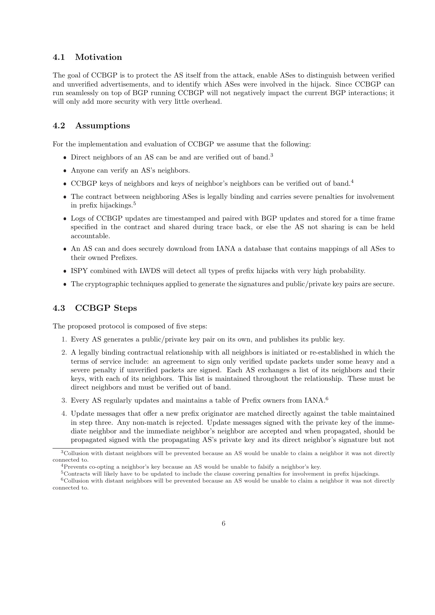#### 4.1 Motivation

The goal of CCBGP is to protect the AS itself from the attack, enable ASes to distinguish between verified and unverified advertisements, and to identify which ASes were involved in the hijack. Since CCBGP can run seamlessly on top of BGP running CCBGP will not negatively impact the current BGP interactions; it will only add more security with very little overhead.

## 4.2 Assumptions

For the implementation and evaluation of CCBGP we assume that the following:

- Direct neighbors of an AS can be and are verified out of band.<sup>3</sup>
- Anyone can verify an AS's neighbors.
- CCBGP keys of neighbors and keys of neighbor's neighbors can be verified out of band.<sup>4</sup>
- The contract between neighboring ASes is legally binding and carries severe penalties for involvement in prefix hijackings.<sup>5</sup>
- Logs of CCBGP updates are timestamped and paired with BGP updates and stored for a time frame specified in the contract and shared during trace back, or else the AS not sharing is can be held accountable.
- An AS can and does securely download from IANA a database that contains mappings of all ASes to their owned Prefixes.
- ISPY combined with LWDS will detect all types of prefix hijacks with very high probability.
- The cryptographic techniques applied to generate the signatures and public/private key pairs are secure.

## 4.3 CCBGP Steps

The proposed protocol is composed of five steps:

- 1. Every AS generates a public/private key pair on its own, and publishes its public key.
- 2. A legally binding contractual relationship with all neighbors is initiated or re-established in which the terms of service include: an agreement to sign only verified update packets under some heavy and a severe penalty if unverified packets are signed. Each AS exchanges a list of its neighbors and their keys, with each of its neighbors. This list is maintained throughout the relationship. These must be direct neighbors and must be verified out of band.
- 3. Every AS regularly updates and maintains a table of Prefix owners from IANA.<sup>6</sup>
- 4. Update messages that offer a new prefix originator are matched directly against the table maintained in step three. Any non-match is rejected. Update messages signed with the private key of the immediate neighbor and the immediate neighbor's neighbor are accepted and when propagated, should be propagated signed with the propagating AS's private key and its direct neighbor's signature but not

<sup>3</sup>Collusion with distant neighbors will be prevented because an AS would be unable to claim a neighbor it was not directly connected to.

<sup>4</sup>Prevents co-opting a neighbor's key because an AS would be unable to falsify a neighbor's key.

<sup>5</sup>Contracts will likely have to be updated to include the clause covering penalties for involvement in prefix hijackings.

 $6$ Collusion with distant neighbors will be prevented because an AS would be unable to claim a neighbor it was not directly connected to.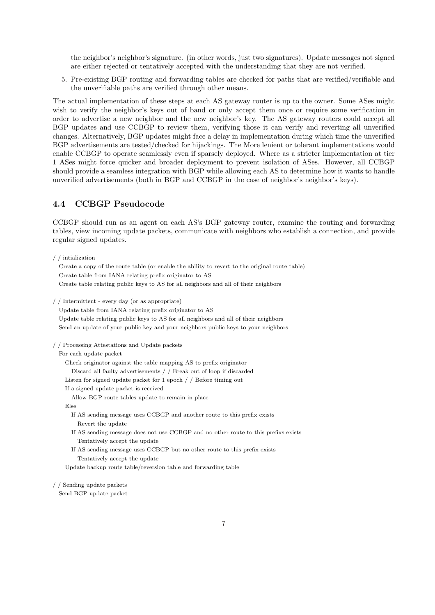the neighbor's neighbor's signature. (in other words, just two signatures). Update messages not signed are either rejected or tentatively accepted with the understanding that they are not verified.

5. Pre-existing BGP routing and forwarding tables are checked for paths that are verified/verifiable and the unverifiable paths are verified through other means.

The actual implementation of these steps at each AS gateway router is up to the owner. Some ASes might wish to verify the neighbor's keys out of band or only accept them once or require some verification in order to advertise a new neighbor and the new neighbor's key. The AS gateway routers could accept all BGP updates and use CCBGP to review them, verifying those it can verify and reverting all unverified changes. Alternatively, BGP updates might face a delay in implementation during which time the unverified BGP advertisements are tested/checked for hijackings. The More lenient or tolerant implementations would enable CCBGP to operate seamlessly even if sparsely deployed. Where as a stricter implementation at tier 1 ASes might force quicker and broader deployment to prevent isolation of ASes. However, all CCBGP should provide a seamless integration with BGP while allowing each AS to determine how it wants to handle unverified advertisements (both in BGP and CCBGP in the case of neighbor's neighbor's keys).

# 4.4 CCBGP Pseudocode

CCBGP should run as an agent on each AS's BGP gateway router, examine the routing and forwarding tables, view incoming update packets, communicate with neighbors who establish a connection, and provide regular signed updates.

/ / intialization

Create a copy of the route table (or enable the ability to revert to the original route table) Create table from IANA relating prefix originator to AS Create table relating public keys to AS for all neighbors and all of their neighbors

/ / Intermittent - every day (or as appropriate)

Update table from IANA relating prefix originator to AS

Update table relating public keys to AS for all neighbors and all of their neighbors Send an update of your public key and your neighbors public keys to your neighbors

/ / Processing Attestations and Update packets

#### For each update packet

Check originator against the table mapping AS to prefix originator Discard all faulty advertisements / / Break out of loop if discarded Listen for signed update packet for 1 epoch / / Before timing out If a signed update packet is received

Allow BGP route tables update to remain in place

Else

- If AS sending message uses CCBGP and another route to this prefix exists Revert the update
- If AS sending message does not use CCBGP and no other route to this prefixs exists Tentatively accept the update
- If AS sending message uses CCBGP but no other route to this prefix exists Tentatively accept the update

Update backup route table/reversion table and forwarding table

#### / / Sending update packets

Send BGP update packet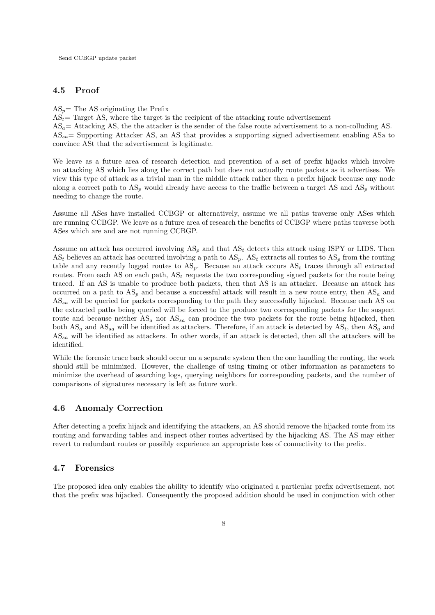#### 4.5 Proof

 $AS_n$ = The AS originating the Prefix

 $AS_t$  Target AS, where the target is the recipient of the attacking route advertisement

 $AS_a=$  Attacking AS, the the attacker is the sender of the false route advertisement to a non-colluding AS.  $AS_{sa}$ = Supporting Attacker AS, an AS that provides a supporting signed advertisement enabling ASa to convince ASt that the advertisement is legitimate.

We leave as a future area of research detection and prevention of a set of prefix hijacks which involve an attacking AS which lies along the correct path but does not actually route packets as it advertises. We view this type of attack as a trivial man in the middle attack rather then a prefix hijack because any node along a correct path to  $AS_p$  would already have access to the traffic between a target AS and  $AS_p$  without needing to change the route.

Assume all ASes have installed CCBGP or alternatively, assume we all paths traverse only ASes which are running CCBGP. We leave as a future area of research the benefits of CCBGP where paths traverse both ASes which are and are not running CCBGP.

Assume an attack has occurred involving  $AS_p$  and that  $AS_t$  detects this attack using ISPY or LIDS. Then  $AS_t$  believes an attack has occurred involving a path to  $AS_p$ .  $AS_t$  extracts all routes to  $AS_p$  from the routing table and any recently logged routes to  $AS_p$ . Because an attack occurs  $AS_t$  traces through all extracted routes. From each AS on each path,  $AS_t$  requests the two corresponding signed packets for the route being traced. If an AS is unable to produce both packets, then that AS is an attacker. Because an attack has occurred on a path to  $AS_n$  and because a successful attack will result in a new route entry, then  $AS_a$  and  $AS_{sa}$  will be queried for packets corresponding to the path they successfully hijacked. Because each AS on the extracted paths being queried will be forced to the produce two corresponding packets for the suspect route and because neither  $AS_a$  nor  $AS_{sa}$  can produce the two packets for the route being hijacked, then both  $AS_a$  and  $AS_{sa}$  will be identified as attackers. Therefore, if an attack is detected by  $AS_t$ , then  $AS_a$  and  $AS_{sa}$  will be identified as attackers. In other words, if an attack is detected, then all the attackers will be identified.

While the forensic trace back should occur on a separate system then the one handling the routing, the work should still be minimized. However, the challenge of using timing or other information as parameters to minimize the overhead of searching logs, querying neighbors for corresponding packets, and the number of comparisons of signatures necessary is left as future work.

#### 4.6 Anomaly Correction

After detecting a prefix hijack and identifying the attackers, an AS should remove the hijacked route from its routing and forwarding tables and inspect other routes advertised by the hijacking AS. The AS may either revert to redundant routes or possibly experience an appropriate loss of connectivity to the prefix.

#### 4.7 Forensics

The proposed idea only enables the ability to identify who originated a particular prefix advertisement, not that the prefix was hijacked. Consequently the proposed addition should be used in conjunction with other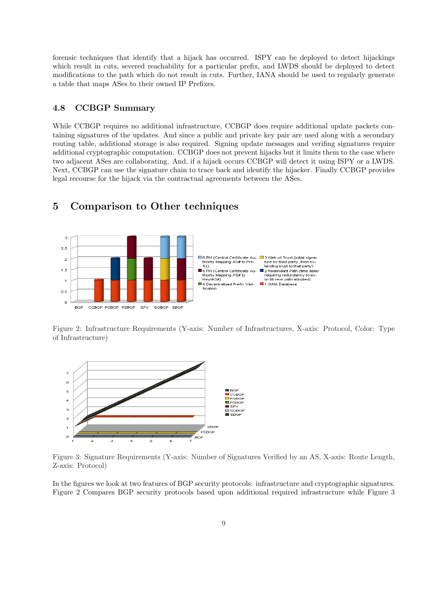forensic techniques that identify that a hijack has occurred. ISPY can be deployed to detect hijackings which result in cuts, severed reachability for a particular prefix, and LWDS should be deployed to detect modifications to the path which do not result in cuts. Further, IANA should be used to regularly generate a table that maps ASes to their owned IP Prefixes.

### 4.8 CCBGP Summary

While CCBGP requires no additional infrastructure, CCBGP does require additional update packets containing signatures of the updates. And since a public and private key pair are used along with a secondary routing table, additional storage is also required. Signing update messages and verifing signatures require additional cryptographic computation. CCBGP does not prevent hijacks but it limits them to the case where two adjacent ASes are collaborating. And, if a hijack occurs CCBGP will detect it using ISPY or a LWDS. Next, CCBGP can use the signature chain to trace back and identify the hijacker. Finally CCBGP provides legal recourse for the hijack via the contractual agreements between the ASes.



# 5 Comparison to Other techniques

Figure 2: Infrastructure Requirements (Y-axis: Number of Infrastructures, X-axis: Protocol, Color: Type of Infrastructure)



Figure 3: Signature Requirements (Y-axis: Number of Signatures Verified by an AS, X-axis: Route Length, Z-axis: Protocol)

In the figures we look at two features of BGP security protocols: infrastructure and cryptographic signatures. Figure 2 Compares BGP security protocols based upon additional required infrastructure while Figure 3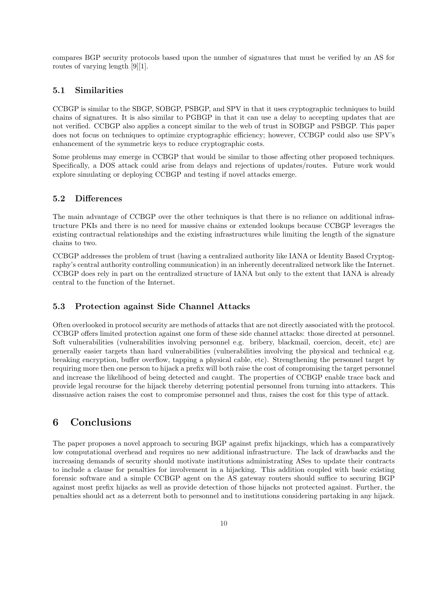compares BGP security protocols based upon the number of signatures that must be verified by an AS for routes of varying length [9][1].

#### 5.1 Similarities

CCBGP is similar to the SBGP, SOBGP, PSBGP, and SPV in that it uses cryptographic techniques to build chains of signatures. It is also similar to PGBGP in that it can use a delay to accepting updates that are not verified. CCBGP also applies a concept similar to the web of trust in SOBGP and PSBGP. This paper does not focus on techniques to optimize cryptographic efficiency; however, CCBGP could also use SPV's enhancement of the symmetric keys to reduce cryptographic costs.

Some problems may emerge in CCBGP that would be similar to those affecting other proposed techniques. Specifically, a DOS attack could arise from delays and rejections of updates/routes. Future work would explore simulating or deploying CCBGP and testing if novel attacks emerge.

#### 5.2 Differences

The main advantage of CCBGP over the other techniques is that there is no reliance on additional infrastructure PKIs and there is no need for massive chains or extended lookups because CCBGP leverages the existing contractual relationships and the existing infrastructures while limiting the length of the signature chains to two.

CCBGP addresses the problem of trust (having a centralized authority like IANA or Identity Based Cryptography's central authority controlling communication) in an inherently decentralized network like the Internet. CCBGP does rely in part on the centralized structure of IANA but only to the extent that IANA is already central to the function of the Internet.

#### 5.3 Protection against Side Channel Attacks

Often overlooked in protocol security are methods of attacks that are not directly associated with the protocol. CCBGP offers limited protection against one form of these side channel attacks: those directed at personnel. Soft vulnerabilities (vulnerabilities involving personnel e.g. bribery, blackmail, coercion, deceit, etc) are generally easier targets than hard vulnerabilities (vulnerabilities involving the physical and technical e.g. breaking encryption, buffer overflow, tapping a physical cable, etc). Strengthening the personnel target by requiring more then one person to hijack a prefix will both raise the cost of compromising the target personnel and increase the likelihood of being detected and caught. The properties of CCBGP enable trace back and provide legal recourse for the hijack thereby deterring potential personnel from turning into attackers. This dissuasive action raises the cost to compromise personnel and thus, raises the cost for this type of attack.

# 6 Conclusions

The paper proposes a novel approach to securing BGP against prefix hijackings, which has a comparatively low computational overhead and requires no new additional infrastructure. The lack of drawbacks and the increasing demands of security should motivate institutions administrating ASes to update their contracts to include a clause for penalties for involvement in a hijacking. This addition coupled with basic existing forensic software and a simple CCBGP agent on the AS gateway routers should suffice to securing BGP against most prefix hijacks as well as provide detection of those hijacks not protected against. Further, the penalties should act as a deterrent both to personnel and to institutions considering partaking in any hijack.